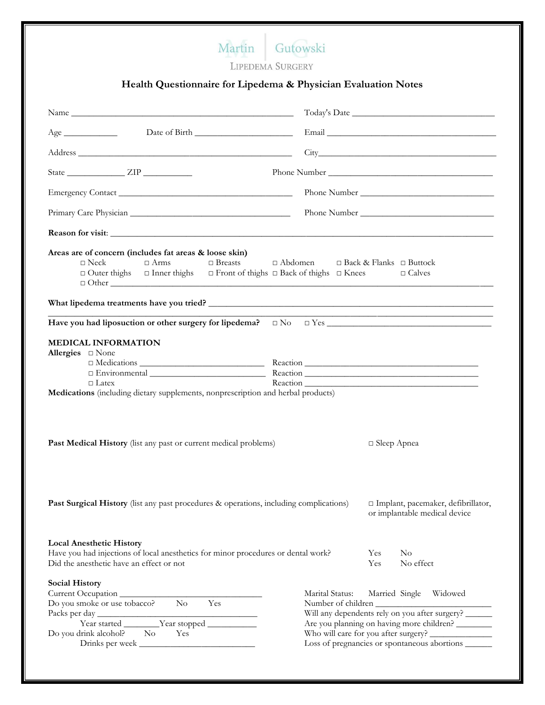## Martin Gutowski

LIPEDEMA SURGERY

## **Health Questionnaire for Lipedema & Physician Evaluation Notes**

| Age                                                                                                                                                                                       |                                                                                                                                                       |  |
|-------------------------------------------------------------------------------------------------------------------------------------------------------------------------------------------|-------------------------------------------------------------------------------------------------------------------------------------------------------|--|
|                                                                                                                                                                                           |                                                                                                                                                       |  |
|                                                                                                                                                                                           |                                                                                                                                                       |  |
|                                                                                                                                                                                           | Phone Number                                                                                                                                          |  |
|                                                                                                                                                                                           | Phone Number                                                                                                                                          |  |
|                                                                                                                                                                                           |                                                                                                                                                       |  |
| Areas are of concern (includes fat areas & loose skin)<br>$\Box$ Neck<br>$\Box$ Arms<br>$\Box$ Outer thighs $\Box$ Inner thighs $\Box$ Front of thighs $\Box$ Back of thighs $\Box$ Knees | $\Box$ Breasts $\Box$ Abdomen $\Box$ Back & Flanks $\Box$ Buttock<br>$\Box$ Calves                                                                    |  |
|                                                                                                                                                                                           |                                                                                                                                                       |  |
|                                                                                                                                                                                           |                                                                                                                                                       |  |
| <b>MEDICAL INFORMATION</b><br>Allergies $\square$ None<br>$\Box$ Latex<br>Medications (including dietary supplements, nonprescription and herbal products)                                |                                                                                                                                                       |  |
| Past Medical History (list any past or current medical problems)                                                                                                                          | $\Box$ Sleep Apnea                                                                                                                                    |  |
| Past Surgical History (list any past procedures & operations, including complications)                                                                                                    | □ Implant, pacemaker, defibrillator,<br>or implantable medical device                                                                                 |  |
| <b>Local Anesthetic History</b><br>Have you had injections of local anesthetics for minor procedures or dental work?<br>Did the anesthetic have an effect or not                          | Yes<br>N <sub>o</sub><br>Yes<br>No effect                                                                                                             |  |
| <b>Social History</b><br>Current Occupation<br>Do you smoke or use tobacco?<br>$\rm No$<br>Yes<br>Do you drink alcohol? No<br>Yes                                                         | Marital Status:<br>Married Single Widowed<br>Are you planning on having more children? ________<br>Loss of pregnancies or spontaneous abortions _____ |  |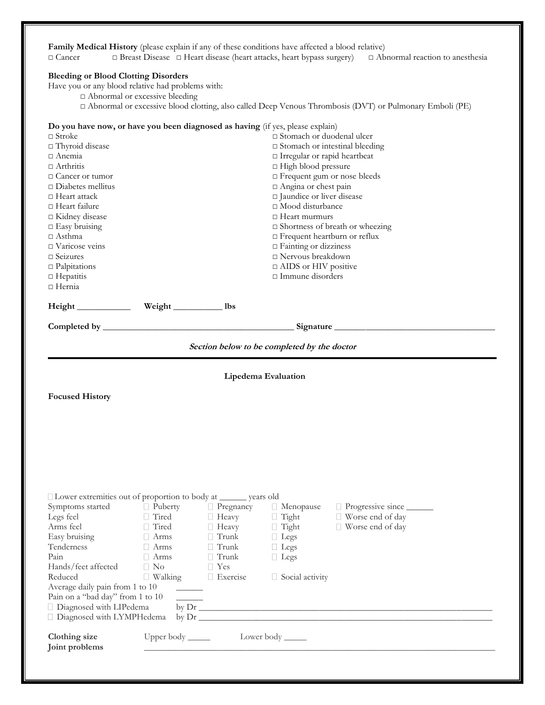**Family Medical History** (please explain if any of these conditions have affected a blood relative) □ Cancer □ Breast Disease □ Heart disease (heart attacks, heart bypass surgery) □ Abnormal reaction to anesthesia

## **Bleeding or Blood Clotting Disorders**

Have you or any blood relative had problems with:

- □ Abnormal or excessive bleeding
- □ Abnormal or excessive blood clotting, also called Deep Venous Thrombosis (DVT) or Pulmonary Emboli (PE)

## **Do you have now, or have you been diagnosed as having** (if yes, please explain)

| <b>Do you have now, or have you been diagnosed as having</b> (if yes, please explain) |                                 |                       |                                             |                                        |
|---------------------------------------------------------------------------------------|---------------------------------|-----------------------|---------------------------------------------|----------------------------------------|
| $\Box$ Stroke                                                                         |                                 |                       | $\Box$ Stomach or duodenal ulcer            |                                        |
| □ Thyroid disease                                                                     |                                 |                       | $\square$ Stomach or intestinal bleeding    |                                        |
| $\Box$ Anemia                                                                         |                                 |                       | $\Box$ Irregular or rapid heartbeat         |                                        |
| $\Box$ Arthritis                                                                      | $\Box$ High blood pressure      |                       |                                             |                                        |
| $\Box$ Cancer or tumor                                                                | □ Frequent gum or nose bleeds   |                       |                                             |                                        |
| $\Box$ Diabetes mellitus                                                              |                                 |                       | $\Box$ Angina or chest pain                 |                                        |
| $\Box$ Heart attack                                                                   |                                 |                       | □ Jaundice or liver disease                 |                                        |
| $\Box$ Heart failure                                                                  |                                 |                       | $\Box$ Mood disturbance                     |                                        |
|                                                                                       |                                 |                       | $\Box$ Heart murmurs                        |                                        |
| □ Kidney disease                                                                      |                                 |                       |                                             |                                        |
| $\Box$ Easy bruising                                                                  |                                 |                       |                                             | $\Box$ Shortness of breath or wheezing |
| $\Box$ Asthma                                                                         |                                 |                       | $\Box$ Frequent heartburn or reflux         |                                        |
| $\Box$ Varicose veins                                                                 |                                 |                       | $\Box$ Fainting or dizziness                |                                        |
| $\Box$ Seizures                                                                       |                                 |                       | □ Nervous breakdown                         |                                        |
| $\Box$ Palpitations                                                                   |                                 |                       | $\Box$ AIDS or HIV positive                 |                                        |
| $\Box$ Hepatitis                                                                      |                                 |                       | $\Box$ Immune disorders                     |                                        |
| $\Box$ Hernia                                                                         |                                 |                       |                                             |                                        |
|                                                                                       |                                 |                       |                                             |                                        |
|                                                                                       | Weight ______________ lbs       |                       |                                             |                                        |
|                                                                                       |                                 |                       |                                             |                                        |
|                                                                                       |                                 |                       |                                             | Signature                              |
|                                                                                       |                                 |                       | Section below to be completed by the doctor |                                        |
|                                                                                       |                                 |                       |                                             |                                        |
|                                                                                       |                                 |                       |                                             |                                        |
|                                                                                       |                                 |                       | Lipedema Evaluation                         |                                        |
|                                                                                       |                                 |                       |                                             |                                        |
| <b>Focused History</b>                                                                |                                 |                       |                                             |                                        |
|                                                                                       |                                 |                       |                                             |                                        |
|                                                                                       |                                 |                       |                                             |                                        |
|                                                                                       |                                 |                       |                                             |                                        |
|                                                                                       |                                 |                       |                                             |                                        |
|                                                                                       |                                 |                       |                                             |                                        |
|                                                                                       |                                 |                       |                                             |                                        |
|                                                                                       |                                 |                       |                                             |                                        |
|                                                                                       |                                 |                       |                                             |                                        |
|                                                                                       |                                 |                       |                                             |                                        |
| □ Lower extremities out of proportion to body at _______ years old                    |                                 |                       |                                             |                                        |
|                                                                                       |                                 |                       |                                             |                                        |
| Symptoms started                                                                      | $\Box$ Puberty $\Box$ Pregnancy |                       | $\Box$ Menopause                            | Progressive since                      |
| Legs feel                                                                             | □ Tired                         | $\Box$ Heavy          | $\Box$ Tight                                | $\Box$ Worse end of day                |
|                                                                                       |                                 |                       |                                             |                                        |
| Arms feel                                                                             | □ Tired                         | □ Heavy               | $\Box$ Tight                                | □ Worse end of day                     |
| Easy bruising                                                                         | $\Box$ Arms                     | $\hfill\Box$<br>Trunk | $\Box$ Legs                                 |                                        |
| Tenderness                                                                            | $\Box$ Arms                     | $\Box$ Trunk          | $\Box$ Legs                                 |                                        |
| Pain                                                                                  | $\Box$ Arms                     |                       |                                             |                                        |
|                                                                                       |                                 | $\Box$ Trunk          | $\Box$ Legs                                 |                                        |
| Hands/feet affected                                                                   | $\Box$ No                       | $\Box$ Yes            |                                             |                                        |
| Reduced                                                                               | $\Box$ Walking                  | $\Box$ Exercise       | $\Box$ Social activity                      |                                        |
| Average daily pain from 1 to 10                                                       |                                 |                       |                                             |                                        |
| Pain on a "bad day" from 1 to 10                                                      |                                 |                       |                                             |                                        |
| □ Diagnosed with LIPedema                                                             |                                 |                       |                                             |                                        |
| □ Diagnosed with LYMPHedema                                                           |                                 |                       |                                             | $\frac{1}{2}$ by $\text{Dr}$           |
|                                                                                       |                                 |                       |                                             |                                        |
| Clothing size                                                                         | Upper body _______              |                       | Lower body ______                           |                                        |
| Joint problems                                                                        |                                 |                       |                                             |                                        |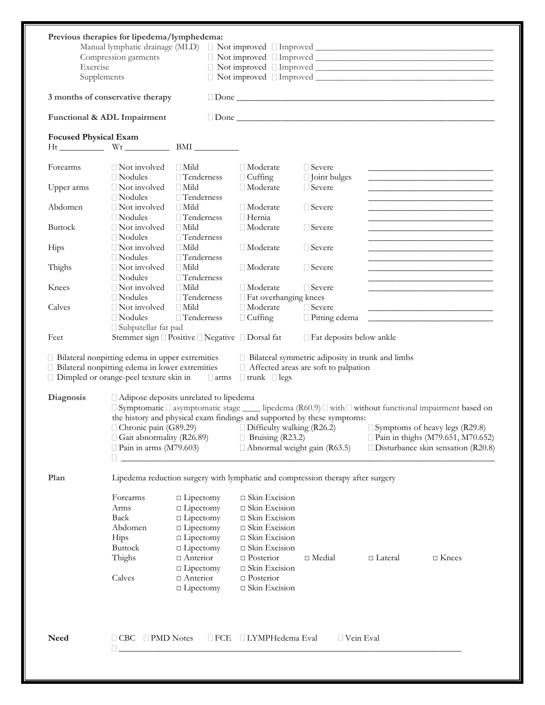|                                                                | Previous therapies for lipedema/lymphedema:                                                                                                                                                                                    |                                                                                                                                                      |                                                                                                |                                                                                 |                |                                                                                                                                                                                                                                                            |
|----------------------------------------------------------------|--------------------------------------------------------------------------------------------------------------------------------------------------------------------------------------------------------------------------------|------------------------------------------------------------------------------------------------------------------------------------------------------|------------------------------------------------------------------------------------------------|---------------------------------------------------------------------------------|----------------|------------------------------------------------------------------------------------------------------------------------------------------------------------------------------------------------------------------------------------------------------------|
|                                                                |                                                                                                                                                                                                                                |                                                                                                                                                      |                                                                                                |                                                                                 |                |                                                                                                                                                                                                                                                            |
| Compression garments<br>□ Not improved □ Improved              |                                                                                                                                                                                                                                |                                                                                                                                                      |                                                                                                |                                                                                 |                |                                                                                                                                                                                                                                                            |
| $\Box$ Not improved $\Box$ Improved<br>Exercise<br>Supplements |                                                                                                                                                                                                                                |                                                                                                                                                      |                                                                                                |                                                                                 |                |                                                                                                                                                                                                                                                            |
|                                                                | 3 months of conservative therapy                                                                                                                                                                                               |                                                                                                                                                      |                                                                                                |                                                                                 |                |                                                                                                                                                                                                                                                            |
|                                                                | Functional & ADL Impairment                                                                                                                                                                                                    |                                                                                                                                                      |                                                                                                | $\Box$ Done                                                                     |                |                                                                                                                                                                                                                                                            |
| <b>Focused Physical Exam</b>                                   |                                                                                                                                                                                                                                |                                                                                                                                                      |                                                                                                |                                                                                 |                |                                                                                                                                                                                                                                                            |
|                                                                |                                                                                                                                                                                                                                |                                                                                                                                                      |                                                                                                |                                                                                 |                |                                                                                                                                                                                                                                                            |
| Forearms                                                       | $\Box$ Not involved<br>$\Box$ Nodules                                                                                                                                                                                          | $\Box$ Mild<br>$\Box$ Tenderness                                                                                                                     | $\Box$ Moderate<br>$\Box$ Cuffing                                                              | $\Box$ Severe                                                                   |                |                                                                                                                                                                                                                                                            |
| Upper arms                                                     | $\Box$ Not involved                                                                                                                                                                                                            | $\Box$ Mild                                                                                                                                          | $\Box$ Moderate                                                                                | $\Box$ Joint bulges<br>□ Severe                                                 |                |                                                                                                                                                                                                                                                            |
|                                                                | $\Box$ Nodules                                                                                                                                                                                                                 | $\Box$ Tenderness                                                                                                                                    |                                                                                                |                                                                                 |                |                                                                                                                                                                                                                                                            |
| Abdomen                                                        | $\Box$ Not involved                                                                                                                                                                                                            | $\Box$ Mild                                                                                                                                          | $\Box$ Moderate                                                                                | $\Box$ Severe                                                                   |                |                                                                                                                                                                                                                                                            |
|                                                                | $\Box$ Nodules                                                                                                                                                                                                                 | $\Box$ Tenderness                                                                                                                                    | $\Box$ Hernia                                                                                  |                                                                                 |                |                                                                                                                                                                                                                                                            |
|                                                                |                                                                                                                                                                                                                                |                                                                                                                                                      |                                                                                                |                                                                                 |                |                                                                                                                                                                                                                                                            |
| <b>Buttock</b>                                                 | $\Box$ Not involved                                                                                                                                                                                                            | $\Box$ Mild                                                                                                                                          | □ Moderate                                                                                     | $\Box$ Severe                                                                   |                |                                                                                                                                                                                                                                                            |
|                                                                | $\Box$ Nodules                                                                                                                                                                                                                 | $\Box$ Tenderness                                                                                                                                    |                                                                                                |                                                                                 |                |                                                                                                                                                                                                                                                            |
| Hips                                                           | $\Box$ Not involved<br>$\Box$ Nodules                                                                                                                                                                                          | $\Box$ Mild<br>$\Box$ Tenderness                                                                                                                     | $\Box$ Moderate                                                                                | $\Box$ Severe                                                                   |                |                                                                                                                                                                                                                                                            |
| Thighs                                                         | $\Box$ Not involved                                                                                                                                                                                                            | $\Box$ Mild                                                                                                                                          | $\Box$ Moderate                                                                                | $\Box$ Severe                                                                   |                |                                                                                                                                                                                                                                                            |
|                                                                | $\Box$ Nodules                                                                                                                                                                                                                 | $\Box$ Tenderness                                                                                                                                    |                                                                                                |                                                                                 |                |                                                                                                                                                                                                                                                            |
| Knees                                                          | $\Box$ Not involved $\Box$ Mild                                                                                                                                                                                                |                                                                                                                                                      | $\Box$ Moderate                                                                                | $\Box$ Severe                                                                   |                |                                                                                                                                                                                                                                                            |
|                                                                | $\Box$ Nodules                                                                                                                                                                                                                 | $\Box$ Tenderness                                                                                                                                    | □ Fat overhanging knees                                                                        |                                                                                 |                |                                                                                                                                                                                                                                                            |
| Calves                                                         | $\Box$ Not involved $\Box$ Mild                                                                                                                                                                                                |                                                                                                                                                      | □ Moderate                                                                                     | □ Severe                                                                        |                |                                                                                                                                                                                                                                                            |
|                                                                | $\Box$ Nodules                                                                                                                                                                                                                 | $\Box$ Tenderness                                                                                                                                    | $\Box$ Cuffing                                                                                 | $\Box$ Pitting edema                                                            |                |                                                                                                                                                                                                                                                            |
|                                                                | Subpatellar fat pad                                                                                                                                                                                                            |                                                                                                                                                      |                                                                                                |                                                                                 |                |                                                                                                                                                                                                                                                            |
| Feet                                                           |                                                                                                                                                                                                                                | Stemmer sign □ Positive □ Negative □ Dorsal fat                                                                                                      |                                                                                                | □ Fat deposits below ankle                                                      |                |                                                                                                                                                                                                                                                            |
|                                                                | $\Box$ Bilateral nonpitting edema in upper extremities $\Box$ Bilateral symmetric adiposity in trunk and limbs<br>Bilateral nonpitting edema in lower extremities<br>$\Box$ Dimpled or orange-peel texture skin in $\Box$ arms |                                                                                                                                                      | $\Box$ trunk $\Box$ legs                                                                       | □ Affected areas are soft to palpation                                          |                |                                                                                                                                                                                                                                                            |
| Diagnosis                                                      | Chronic pain (G89.29)<br>Gait abnormality (R26.89)<br>$\Box$ Pain in arms (M79.603)                                                                                                                                            | □ Adipose deposits unrelated to lipedema<br><u> Disponentia de la contrada de la contrada de la contrada de la contrada de la contrada de la con</u> | $\Box$ Difficulty walking (R26.2)<br>$\Box$ Bruising (R23.2)<br>□ Abnormal weight gain (R63.5) | the history and physical exam findings and supported by these symptoms:         |                | $\Box$ Symptomatic $\Box$ asymptomatic stage _____ lipedema (R60.9) $\Box$ with $\Box$ without functional impairment based on<br>$\Box$ Symptoms of heavy legs (R29.8)<br>□ Pain in thighs (M79.651, M70.652)<br>$\Box$ Disturbance skin sensation (R20.8) |
| Plan                                                           |                                                                                                                                                                                                                                |                                                                                                                                                      |                                                                                                | Lipedema reduction surgery with lymphatic and compression therapy after surgery |                |                                                                                                                                                                                                                                                            |
|                                                                | Forearms                                                                                                                                                                                                                       | $\Box$ Lipectomy                                                                                                                                     | $\Box$ Skin Excision                                                                           |                                                                                 |                |                                                                                                                                                                                                                                                            |
|                                                                | Arms                                                                                                                                                                                                                           | $\Box$ Lipectomy                                                                                                                                     | $\Box$ Skin Excision                                                                           |                                                                                 |                |                                                                                                                                                                                                                                                            |
|                                                                | Back                                                                                                                                                                                                                           | $\Box$ Lipectomy                                                                                                                                     | $\Box$ Skin Excision                                                                           |                                                                                 |                |                                                                                                                                                                                                                                                            |
|                                                                | Abdomen                                                                                                                                                                                                                        | $\Box$ Lipectomy                                                                                                                                     | $\Box$ Skin Excision                                                                           |                                                                                 |                |                                                                                                                                                                                                                                                            |
|                                                                | <b>Hips</b>                                                                                                                                                                                                                    | $\Box$ Lipectomy                                                                                                                                     | $\Box$ Skin Excision                                                                           |                                                                                 |                |                                                                                                                                                                                                                                                            |
|                                                                | <b>Buttock</b>                                                                                                                                                                                                                 | $\Box$ Lipectomy                                                                                                                                     | $\Box$ Skin Excision                                                                           |                                                                                 |                |                                                                                                                                                                                                                                                            |
|                                                                | Thighs                                                                                                                                                                                                                         | $\Box$ Anterior                                                                                                                                      | $\Box$ Posterior                                                                               | $\Box$ Medial                                                                   | $\Box$ Lateral | $\Box$ Knees                                                                                                                                                                                                                                               |
|                                                                |                                                                                                                                                                                                                                | $\Box$ Lipectomy                                                                                                                                     | $\Box$ Skin Excision                                                                           |                                                                                 |                |                                                                                                                                                                                                                                                            |
|                                                                | Calves                                                                                                                                                                                                                         | $\Box$ Anterior                                                                                                                                      | $\Box$ Posterior                                                                               |                                                                                 |                |                                                                                                                                                                                                                                                            |
|                                                                |                                                                                                                                                                                                                                | $\Box$ Lipectomy                                                                                                                                     | $\Box$ Skin Excision                                                                           |                                                                                 |                |                                                                                                                                                                                                                                                            |
| <b>Need</b>                                                    | $\Box$ CBC $\Box$ PMD Notes                                                                                                                                                                                                    |                                                                                                                                                      | □ FCE □ LYMPHedema Eval                                                                        | □ Vein Eval                                                                     |                |                                                                                                                                                                                                                                                            |
|                                                                |                                                                                                                                                                                                                                |                                                                                                                                                      |                                                                                                |                                                                                 |                |                                                                                                                                                                                                                                                            |